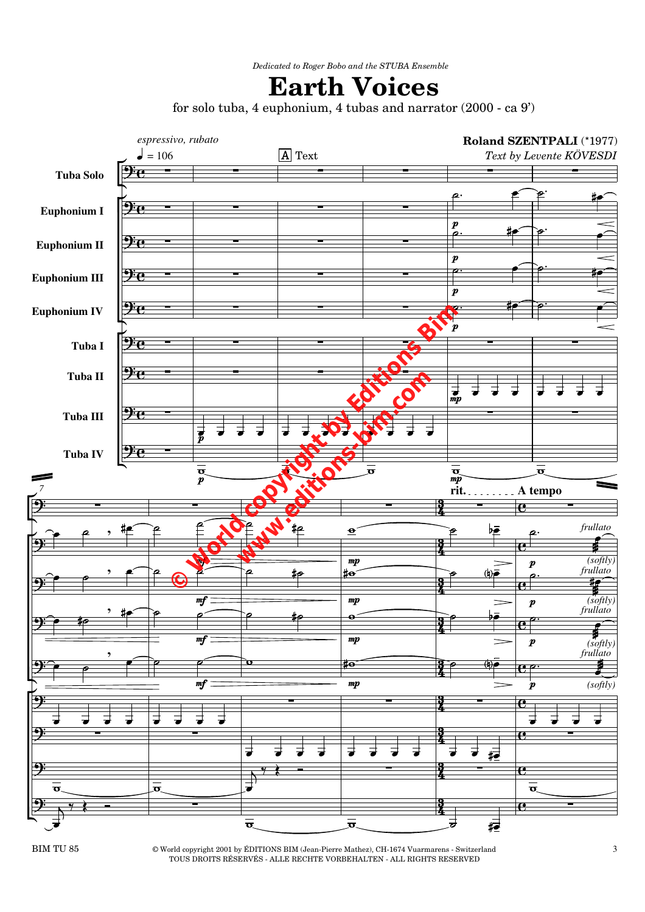*Dedicated to Roger Bobo and the STUBA Ensemble*

## **Earth Voices**

for solo tuba, 4 euphonium, 4 tubas and narrator (2000 - ca 9')



BIM TU 85 © World copyright 2001 by ÉDITIONS BIM (Jean-Pierre Mathez), CH-1674 Vuarmarens - Switzerland TOUS DROITS RÉSERVÉS - ALLE RECHTE VORBEHALTEN - ALL RIGHTS RESERVED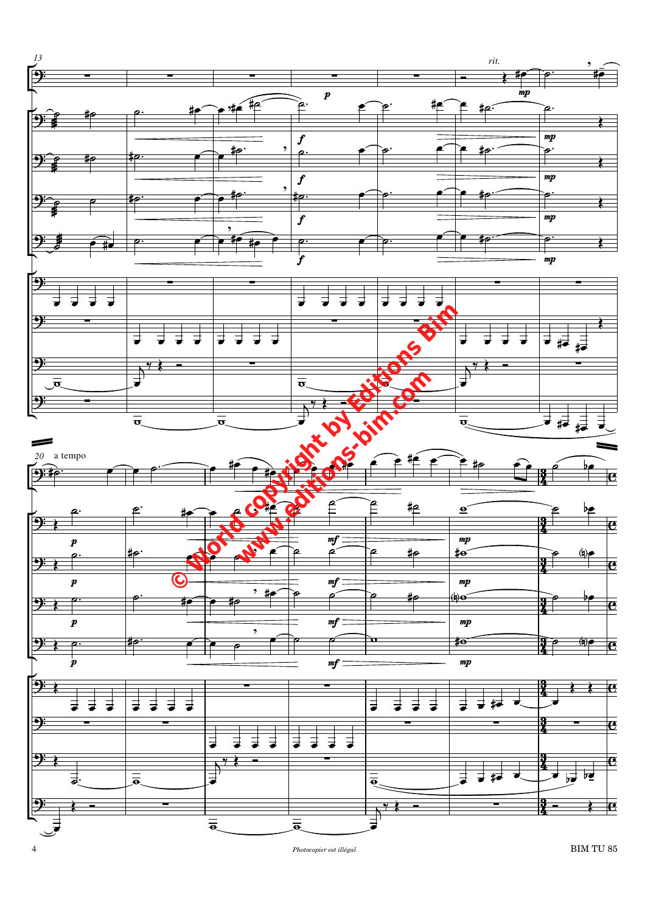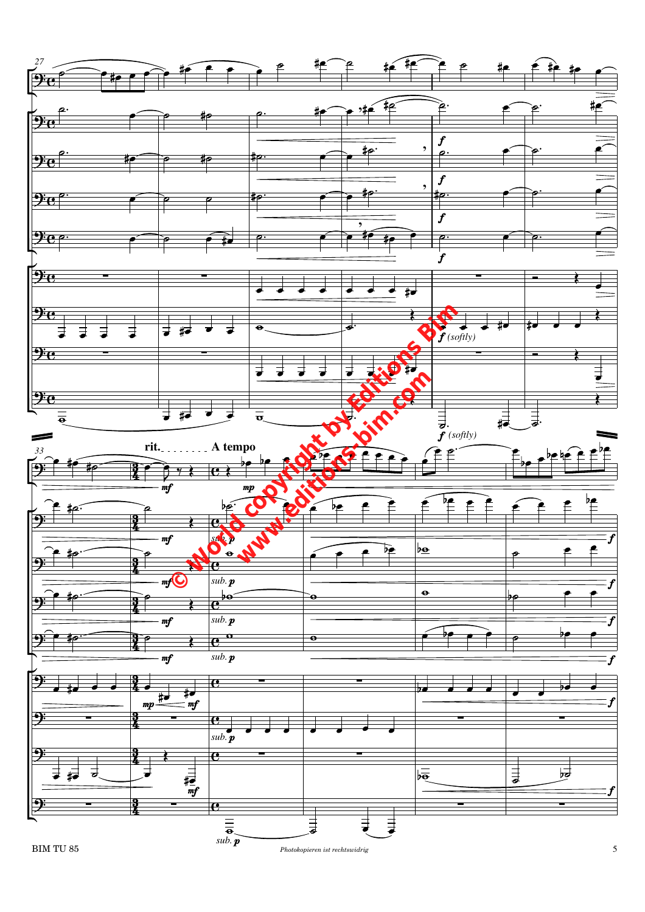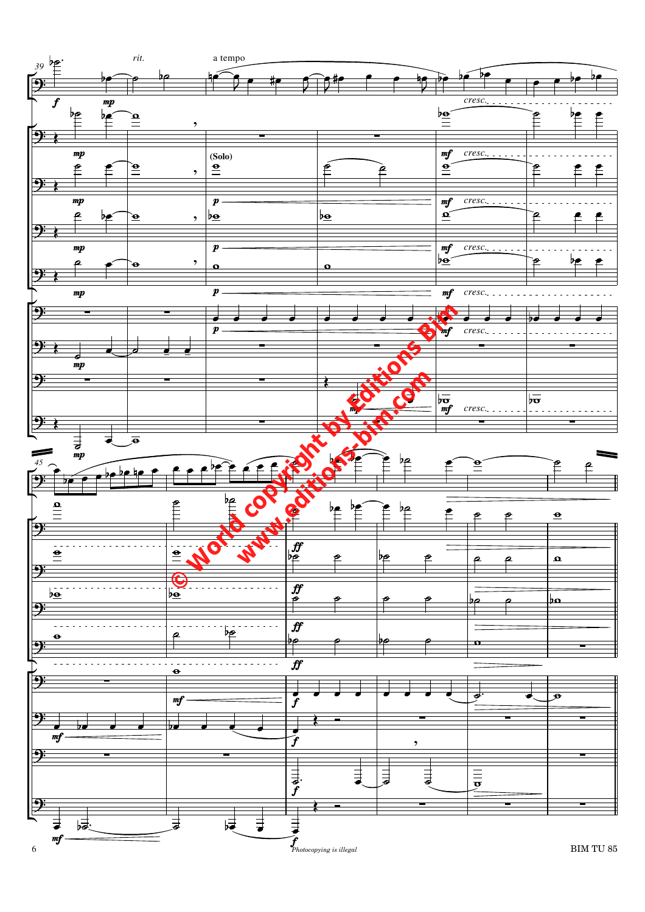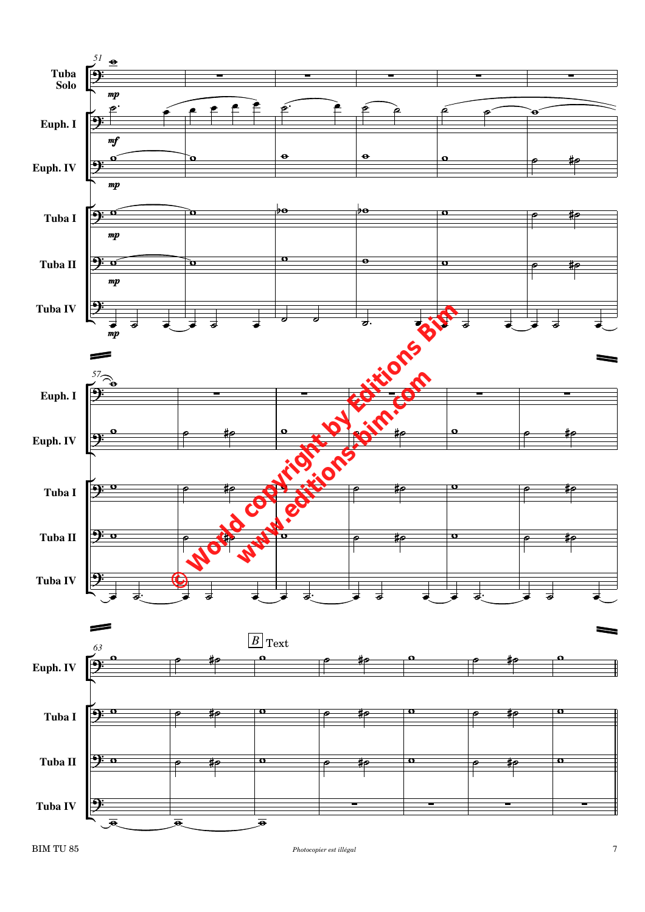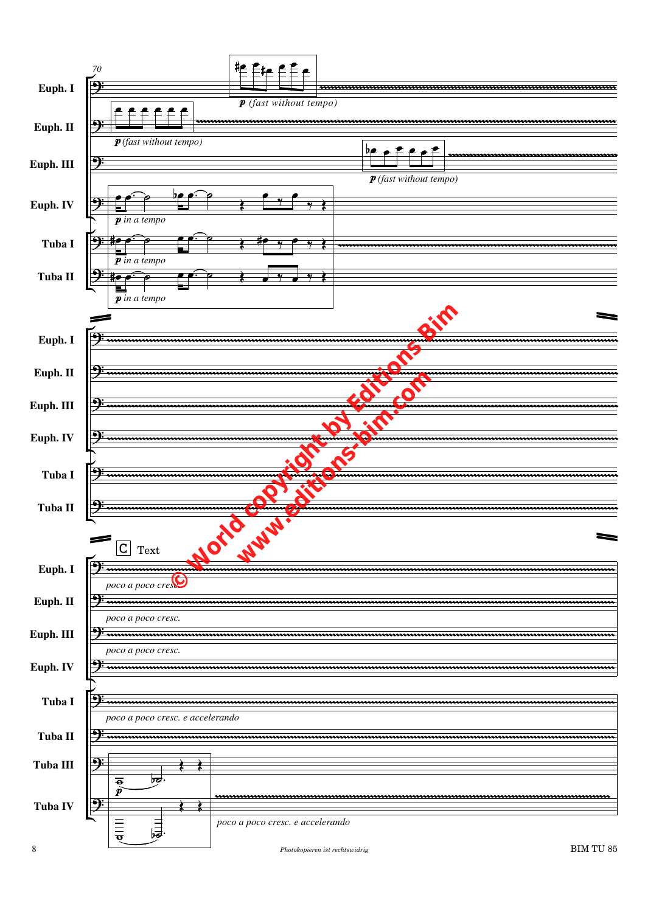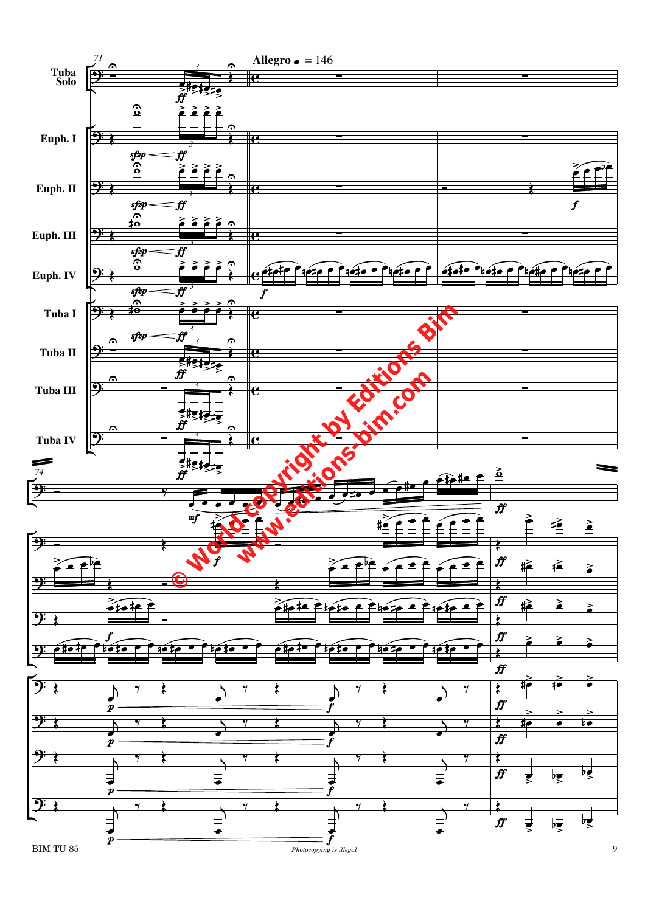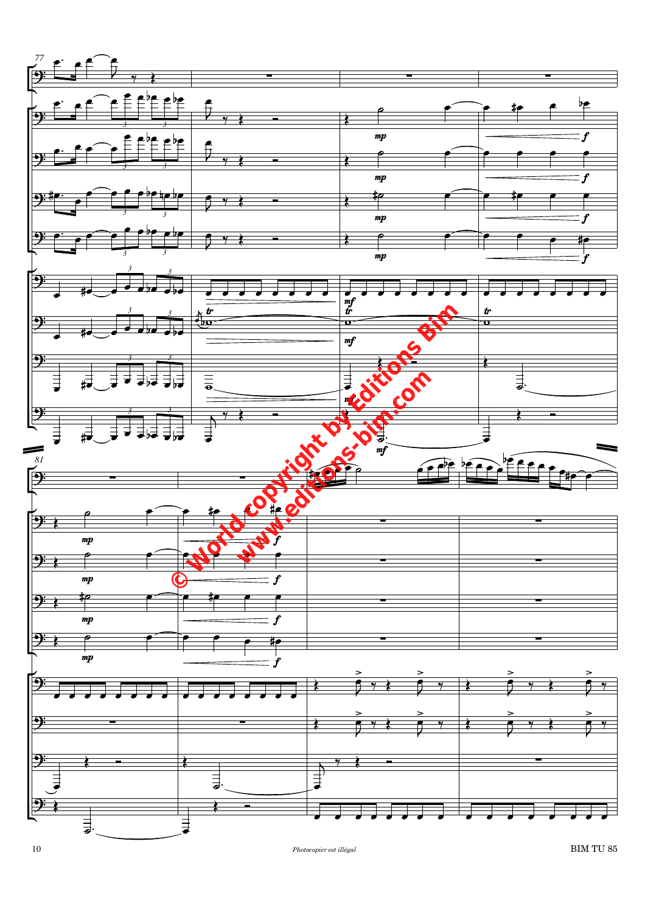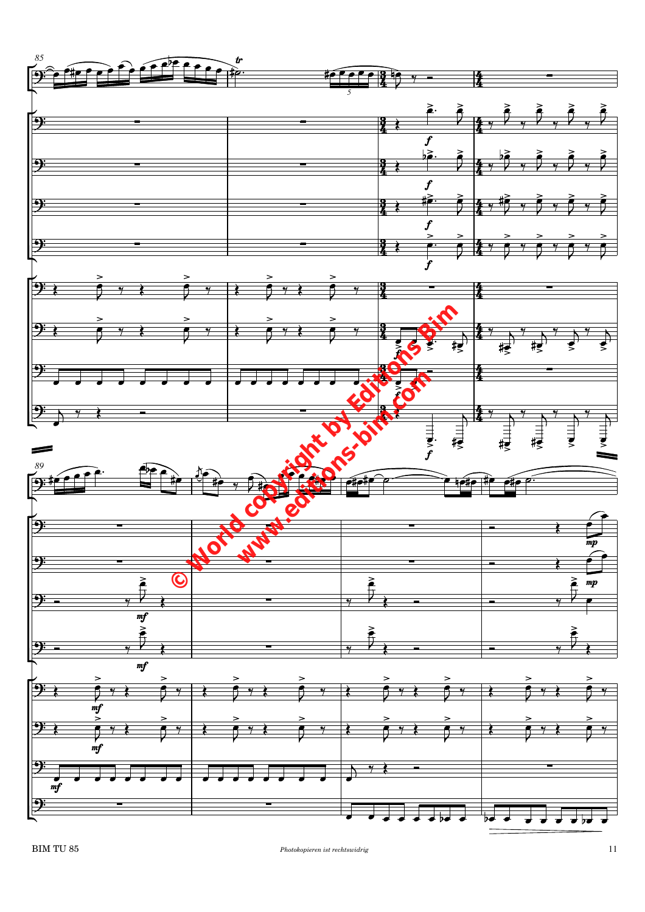